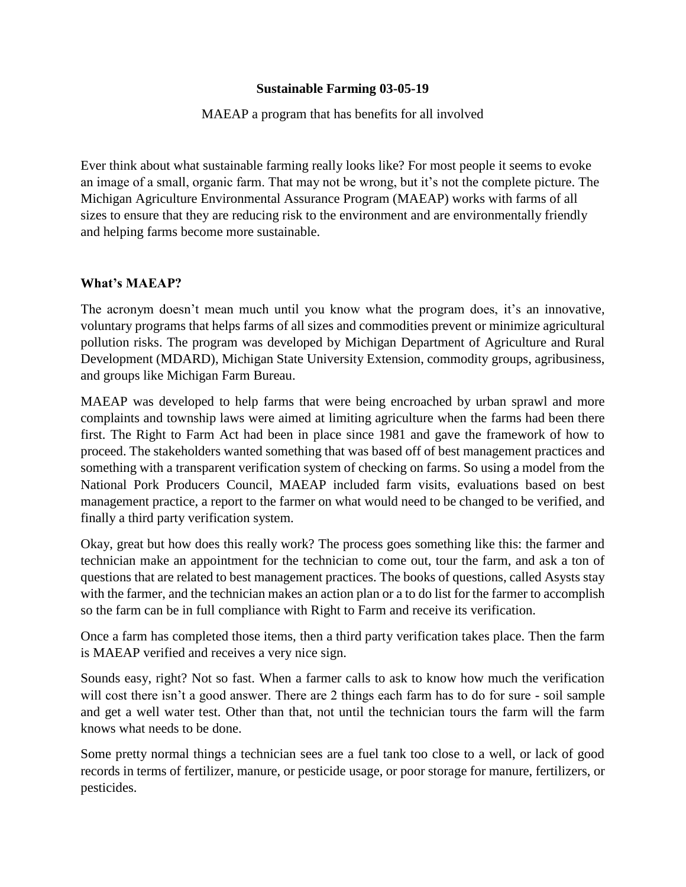## **Sustainable Farming 03-05-19**

### MAEAP a program that has benefits for all involved

Ever think about what sustainable farming really looks like? For most people it seems to evoke an image of a small, organic farm. That may not be wrong, but it's not the complete picture. The Michigan Agriculture Environmental Assurance Program (MAEAP) works with farms of all sizes to ensure that they are reducing risk to the environment and are environmentally friendly and helping farms become more sustainable.

#### **What's MAEAP?**

The acronym doesn't mean much until you know what the program does, it's an innovative, voluntary programs that helps farms of all sizes and commodities prevent or minimize agricultural pollution risks. The program was developed by Michigan Department of Agriculture and Rural Development (MDARD), Michigan State University Extension, commodity groups, agribusiness, and groups like Michigan Farm Bureau.

MAEAP was developed to help farms that were being encroached by urban sprawl and more complaints and township laws were aimed at limiting agriculture when the farms had been there first. The Right to Farm Act had been in place since 1981 and gave the framework of how to proceed. The stakeholders wanted something that was based off of best management practices and something with a transparent verification system of checking on farms. So using a model from the National Pork Producers Council, MAEAP included farm visits, evaluations based on best management practice, a report to the farmer on what would need to be changed to be verified, and finally a third party verification system.

Okay, great but how does this really work? The process goes something like this: the farmer and technician make an appointment for the technician to come out, tour the farm, and ask a ton of questions that are related to best management practices. The books of questions, called Asysts stay with the farmer, and the technician makes an action plan or a to do list for the farmer to accomplish so the farm can be in full compliance with Right to Farm and receive its verification.

Once a farm has completed those items, then a third party verification takes place. Then the farm is MAEAP verified and receives a very nice sign.

Sounds easy, right? Not so fast. When a farmer calls to ask to know how much the verification will cost there isn't a good answer. There are 2 things each farm has to do for sure - soil sample and get a well water test. Other than that, not until the technician tours the farm will the farm knows what needs to be done.

Some pretty normal things a technician sees are a fuel tank too close to a well, or lack of good records in terms of fertilizer, manure, or pesticide usage, or poor storage for manure, fertilizers, or pesticides.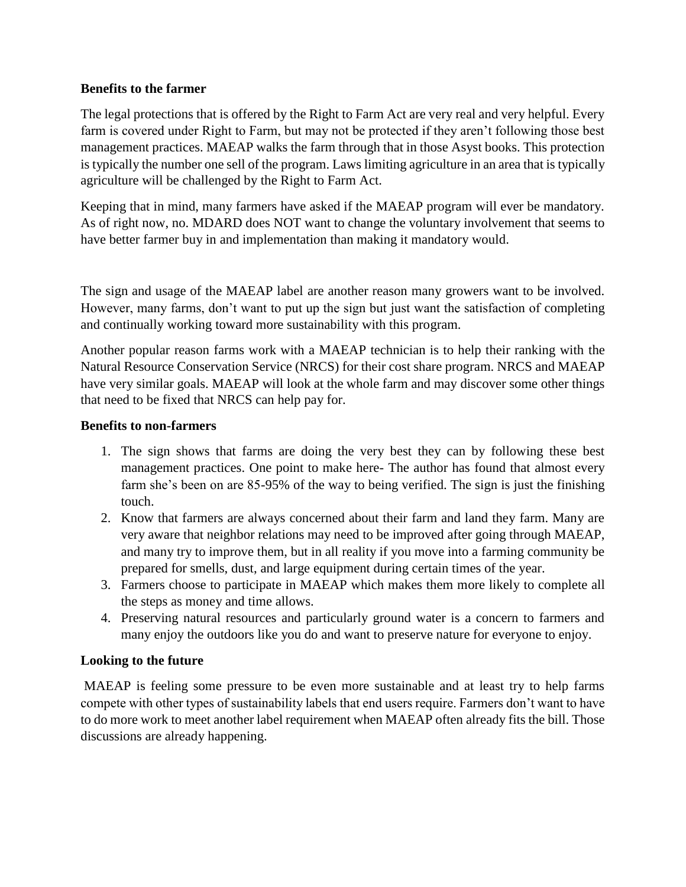### **Benefits to the farmer**

The legal protections that is offered by the Right to Farm Act are very real and very helpful. Every farm is covered under Right to Farm, but may not be protected if they aren't following those best management practices. MAEAP walks the farm through that in those Asyst books. This protection is typically the number one sell of the program. Laws limiting agriculture in an area that is typically agriculture will be challenged by the Right to Farm Act.

Keeping that in mind, many farmers have asked if the MAEAP program will ever be mandatory. As of right now, no. MDARD does NOT want to change the voluntary involvement that seems to have better farmer buy in and implementation than making it mandatory would.

The sign and usage of the MAEAP label are another reason many growers want to be involved. However, many farms, don't want to put up the sign but just want the satisfaction of completing and continually working toward more sustainability with this program.

Another popular reason farms work with a MAEAP technician is to help their ranking with the Natural Resource Conservation Service (NRCS) for their cost share program. NRCS and MAEAP have very similar goals. MAEAP will look at the whole farm and may discover some other things that need to be fixed that NRCS can help pay for.

## **Benefits to non-farmers**

- 1. The sign shows that farms are doing the very best they can by following these best management practices. One point to make here- The author has found that almost every farm she's been on are 85-95% of the way to being verified. The sign is just the finishing touch.
- 2. Know that farmers are always concerned about their farm and land they farm. Many are very aware that neighbor relations may need to be improved after going through MAEAP, and many try to improve them, but in all reality if you move into a farming community be prepared for smells, dust, and large equipment during certain times of the year.
- 3. Farmers choose to participate in MAEAP which makes them more likely to complete all the steps as money and time allows.
- 4. Preserving natural resources and particularly ground water is a concern to farmers and many enjoy the outdoors like you do and want to preserve nature for everyone to enjoy.

# **Looking to the future**

MAEAP is feeling some pressure to be even more sustainable and at least try to help farms compete with other types of sustainability labels that end users require. Farmers don't want to have to do more work to meet another label requirement when MAEAP often already fits the bill. Those discussions are already happening.